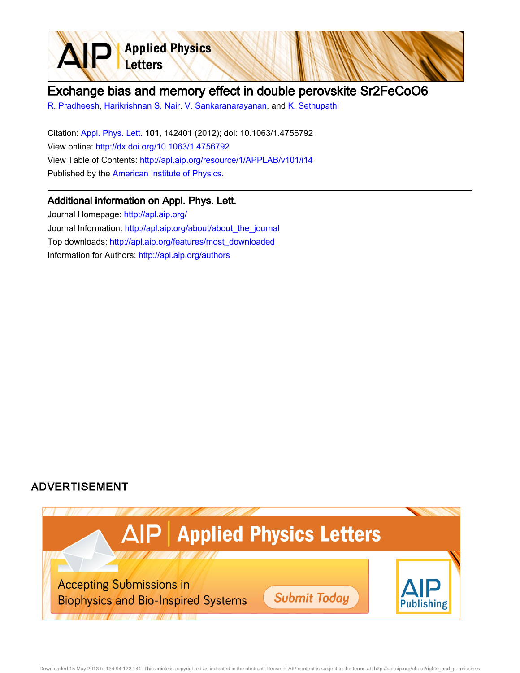

## Exchange bias and memory effect in double perovskite Sr2FeCoO6

[R. Pradheesh](http://apl.aip.org/search?sortby=newestdate&q=&searchzone=2&searchtype=searchin&faceted=faceted&key=AIP_ALL&possible1=R. Pradheesh&possible1zone=author&alias=&displayid=AIP&ver=pdfcov), [Harikrishnan S. Nair](http://apl.aip.org/search?sortby=newestdate&q=&searchzone=2&searchtype=searchin&faceted=faceted&key=AIP_ALL&possible1=Harikrishnan S. Nair&possible1zone=author&alias=&displayid=AIP&ver=pdfcov), [V. Sankaranarayanan](http://apl.aip.org/search?sortby=newestdate&q=&searchzone=2&searchtype=searchin&faceted=faceted&key=AIP_ALL&possible1=V. Sankaranarayanan&possible1zone=author&alias=&displayid=AIP&ver=pdfcov), and [K. Sethupathi](http://apl.aip.org/search?sortby=newestdate&q=&searchzone=2&searchtype=searchin&faceted=faceted&key=AIP_ALL&possible1=K. Sethupathi&possible1zone=author&alias=&displayid=AIP&ver=pdfcov)

Citation: [Appl. Phys. Lett. 1](http://apl.aip.org/?ver=pdfcov)01, 142401 (2012); doi: 10.1063/1.4756792 View online: [http://dx.doi.org/10.1063/1.4756792](http://link.aip.org/link/doi/10.1063/1.4756792?ver=pdfcov) View Table of Contents: [http://apl.aip.org/resource/1/APPLAB/v101/i14](http://apl.aip.org/resource/1/APPLAB/v101/i14?ver=pdfcov) Published by the [American Institute of Physics.](http://www.aip.org/?ver=pdfcov)

## Additional information on Appl. Phys. Lett.

Journal Homepage: [http://apl.aip.org/](http://apl.aip.org/?ver=pdfcov) Journal Information: [http://apl.aip.org/about/about\\_the\\_journal](http://apl.aip.org/about/about_the_journal?ver=pdfcov) Top downloads: [http://apl.aip.org/features/most\\_downloaded](http://apl.aip.org/features/most_downloaded?ver=pdfcov) Information for Authors: [http://apl.aip.org/authors](http://apl.aip.org/authors?ver=pdfcov)

## **ADVERTISEMENT**

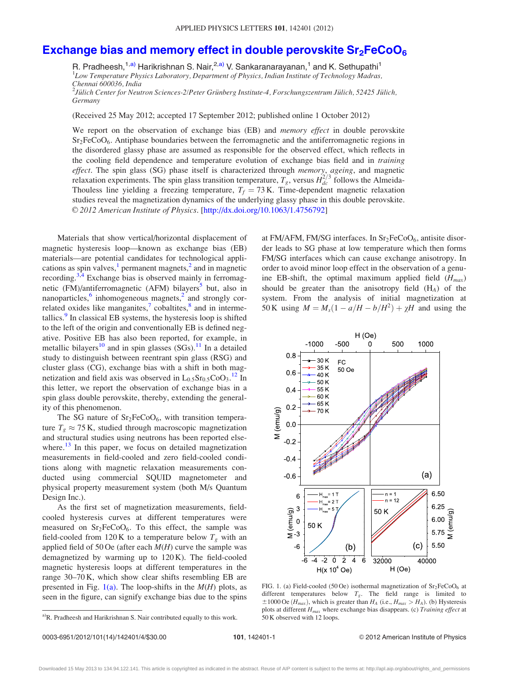## <span id="page-1-0"></span>Exchange bias and memory effect in double perovskite  $Sr<sub>2</sub>FeCoO<sub>6</sub>$

R. Pradheesh,<sup>1,a)</sup> Harikrishnan S. Nair,<sup>2,a)</sup> V. Sankaranarayanan,<sup>1</sup> and K. Sethupathi<sup>1</sup> <sup>1</sup>Low Temperature Physics Laboratory, Department of Physics, Indian Institute of Technology Madras, Chennai 600036, India  $^2$ Jülich Center for Neutron Sciences-2/Peter Grünberg Institute-4, Forschungszentrum Jülich, 52425 Jülich, Germany

(Received 25 May 2012; accepted 17 September 2012; published online 1 October 2012)

We report on the observation of exchange bias (EB) and *memory effect* in double perovskite  $Sr<sub>2</sub>FeCoO<sub>6</sub>$ . Antiphase boundaries between the ferromagnetic and the antiferromagnetic regions in the disordered glassy phase are assumed as responsible for the observed effect, which reflects in the cooling field dependence and temperature evolution of exchange bias field and in *training* effect. The spin glass (SG) phase itself is characterized through *memory*, ageing, and magnetic relaxation experiments. The spin glass transition temperature,  $T_g$ , versus  $H_{dc}^{2/3}$  follows the Almeida-Thouless line yielding a freezing temperature,  $T_f = 73$  K. Time-dependent magnetic relaxation studies reveal the magnetization dynamics of the underlying glassy phase in this double perovskite. V<sup>C</sup> 2012 American Institute of Physics. [[http://dx.doi.org/10.1063/1.4756792\]](http://dx.doi.org/10.1063/1.4756792)

Materials that show vertical/horizontal displacement of magnetic hysteresis loop—known as exchange bias (EB) materials—are potential candidates for technological applications as spin valves, $\frac{1}{2}$  $\frac{1}{2}$  $\frac{1}{2}$  $\frac{1}{2}$  $\frac{1}{2}$  permanent magnets, $\frac{2}{3}$  and in magnetic recording.<sup>[3,4](#page-4-0)</sup> Exchange bias is observed mainly in ferromag-netic (FM)/antiferromagnetic (AFM) bilayers<sup>[5](#page-4-0)</sup> but, also in nanoparticles, $6$  inhomogeneous magnets, $2$  and strongly correlated oxides like manganites, $\frac{7}{1}$  $\frac{7}{1}$  $\frac{7}{1}$  cobaltites, $\frac{8}{1}$  $\frac{8}{1}$  $\frac{8}{1}$  and in interme-tallics.<sup>[9](#page-4-0)</sup> In classical EB systems, the hysteresis loop is shifted to the left of the origin and conventionally EB is defined negative. Positive EB has also been reported, for example, in metallic bilayers<sup>[10](#page-4-0)</sup> and in spin glasses  $(SGs)$ .<sup>[11](#page-4-0)</sup> In a detailed study to distinguish between reentrant spin glass (RSG) and cluster glass (CG), exchange bias with a shift in both magnetization and field axis was observed in  $L_{0.5}Sr_{0.5}CoO<sub>3</sub>.<sup>12</sup> In$  $L_{0.5}Sr_{0.5}CoO<sub>3</sub>.<sup>12</sup> In$  $L_{0.5}Sr_{0.5}CoO<sub>3</sub>.<sup>12</sup> In$ this letter, we report the observation of exchange bias in a spin glass double perovskite, thereby, extending the generality of this phenomenon.

The SG nature of  $Sr<sub>2</sub>FeCoO<sub>6</sub>$ , with transition temperature  $T_g \approx 75$  K, studied through macroscopic magnetization and structural studies using neutrons has been reported elsewhere. $^{13}$  $^{13}$  $^{13}$  In this paper, we focus on detailed magnetization measurements in field-cooled and zero field-cooled conditions along with magnetic relaxation measurements conducted using commercial SQUID magnetometer and physical property measurement system (both M/s Quantum Design Inc.).

As the first set of magnetization measurements, fieldcooled hysteresis curves at different temperatures were measured on  $Sr<sub>2</sub>FeCoO<sub>6</sub>$ . To this effect, the sample was field-cooled from 120 K to a temperature below  $T_g$  with an applied field of 50 Oe (after each  $M(H)$  curve the sample was demagnetized by warming up to 120 K). The field-cooled magnetic hysteresis loops at different temperatures in the range 30–70 K, which show clear shifts resembling EB are presented in Fig. 1(a). The loop-shifts in the  $M(H)$  plots, as seen in the figure, can signify exchange bias due to the spins

 ${}^{a}$ R. Pradheesh and Harikrishnan S. Nair contributed equally to this work.  $\qquad 50$  K observed with 12 loops.

at FM/AFM, FM/SG interfaces. In  $Sr<sub>2</sub>FeCoO<sub>6</sub>$ , antisite disorder leads to SG phase at low temperature which then forms FM/SG interfaces which can cause exchange anisotropy. In order to avoid minor loop effect in the observation of a genuine EB-shift, the optimal maximum applied field  $(H_{max})$ should be greater than the anisotropy field  $(H_A)$  of the system. From the analysis of initial magnetization at 50 K using  $M = M_s(1 - a/H - b/H^2) + \chi H$  and using the



FIG. 1. (a) Field-cooled (50 Oe) isothermal magnetization of  $Sr<sub>2</sub>FeCoO<sub>6</sub>$  at different temperatures below  $T_g$ . The field range is limited to  $\pm 1000$  Oe (H<sub>max</sub>), which is greater than H<sub>A</sub> (i.e., H<sub>max</sub> > H<sub>A</sub>). (b) Hysteresis plots at different  $H_{max}$  where exchange bias disappears. (c) Training effect at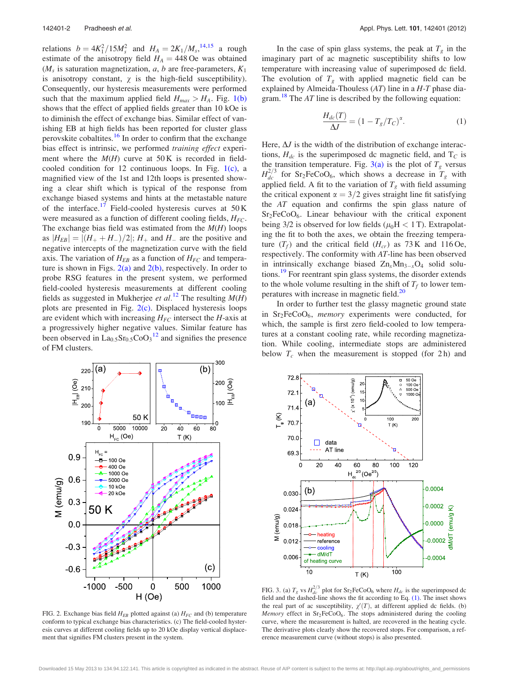<span id="page-2-0"></span>relations  $b = 4K_1^2/15M_s^2$  and  $H_A = 2K_1/M_s^{14,15}$  $H_A = 2K_1/M_s^{14,15}$  $H_A = 2K_1/M_s^{14,15}$  a rough estimate of the anisotropy field  $H_A = 448$  Oe was obtained  $(M<sub>s</sub>$  is saturation magnetization, a, b are free-parameters,  $K<sub>1</sub>$ is anisotropy constant,  $\chi$  is the high-field susceptibility). Consequently, our hysteresis measurements were performed such that the maximum applied field  $H_{max} > H_A$ . Fig. [1\(b\)](#page-1-0) shows that the effect of applied fields greater than 10 kOe is to diminish the effect of exchange bias. Similar effect of vanishing EB at high fields has been reported for cluster glass perovskite cobaltites.<sup>[16](#page-4-0)</sup> In order to confirm that the exchange bias effect is intrinsic, we performed training effect experiment where the  $M(H)$  curve at 50 K is recorded in fieldcooled condition for 12 continuous loops. In Fig.  $1(c)$ , a magnified view of the 1st and 12th loops is presented showing a clear shift which is typical of the response from exchange biased systems and hints at the metastable nature of the interface.<sup>[17](#page-4-0)</sup> Field-cooled hysteresis curves at  $50 K$ were measured as a function of different cooling fields,  $H_{FC}$ . The exchange bias field was estimated from the  $M(H)$  loops as  $|H_{EB}| = |(H_+ + H_-)/2|$ ;  $H_+$  and  $H_-$  are the positive and negative intercepts of the magnetization curve with the field axis. The variation of  $H_{EB}$  as a function of  $H_{FC}$  and temperature is shown in Figs.  $2(a)$  and  $2(b)$ , respectively. In order to probe RSG features in the present system, we performed field-cooled hysteresis measurements at different cooling fields as suggested in Mukherjee et al.<sup>[12](#page-4-0)</sup> The resulting  $M(H)$ plots are presented in Fig.  $2(c)$ . Displaced hysteresis loops are evident which with increasing  $H_{FC}$  intersect the H-axis at a progressively higher negative values. Similar feature has been observed in  $La<sub>0.5</sub>Sr<sub>0.5</sub>CoO<sub>3</sub><sup>12</sup>$  $La<sub>0.5</sub>Sr<sub>0.5</sub>CoO<sub>3</sub><sup>12</sup>$  $La<sub>0.5</sub>Sr<sub>0.5</sub>CoO<sub>3</sub><sup>12</sup>$  and signifies the presence of FM clusters.

In the case of spin glass systems, the peak at  $T_g$  in the imaginary part of ac magnetic susceptibility shifts to low temperature with increasing value of superimposed dc field. The evolution of  $T_g$  with applied magnetic field can be explained by Almeida-Thouless (AT) line in a H-T phase dia-gram.<sup>[18](#page-4-0)</sup> The  $AT$  line is described by the following equation:

$$
\frac{H_{dc}(T)}{\Delta J} = (1 - T_g/T_c)^{\alpha}.
$$
 (1)

Here,  $\Delta J$  is the width of the distribution of exchange interactions,  $H_{dc}$  is the superimposed dc magnetic field, and  $T_C$  is the transition temperature. Fig. 3(a) is the plot of  $T_g$  versus  $H_{dc}^{2/3}$  for Sr<sub>2</sub>FeCoO<sub>6</sub>, which shows a decrease in  $T_g$  with applied field. A fit to the variation of  $T_g$  with field assuming the critical exponent  $\alpha = 3/2$  gives straight line fit satisfying the AT equation and confirms the spin glass nature of  $Sr<sub>2</sub>FeCoO<sub>6</sub>$ . Linear behaviour with the critical exponent being  $3/2$  is observed for low fields ( $\mu_0H < 1$  T). Extrapolating the fit to both the axes, we obtain the freezing temperature  $(T_f)$  and the critical field  $(H_{cr})$  as 73 K and 116 Oe, respectively. The conformity with AT-line has been observed in intrinsically exchange biased  $Zn_xMn_{3-x}O_4$  solid solu-tions.<sup>[19](#page-4-0)</sup> For reentrant spin glass systems, the disorder extends to the whole volume resulting in the shift of  $T_f$  to lower temperatures with increase in magnetic field. $^{20}$ 

In order to further test the glassy magnetic ground state in  $Sr<sub>2</sub>FeCoO<sub>6</sub>$ , *memory* experiments were conducted, for which, the sample is first zero field-cooled to low temperatures at a constant cooling rate, while recording magnetization. While cooling, intermediate stops are administered below  $T_c$  when the measurement is stopped (for 2h) and



FIG. 2. Exchange bias field  $H_{EB}$  plotted against (a)  $H_{FC}$  and (b) temperature conform to typical exchange bias characteristics. (c) The field-cooled hysteresis curves at different cooling fields up to 20 kOe display vertical displacement that signifies FM clusters present in the system.



FIG. 3. (a)  $T_g$  vs  $H_{dc}^{2/3}$  plot for Sr<sub>2</sub>FeCoO<sub>6</sub> where  $H_{dc}$  is the superimposed dc field and the dashed-line shows the fit according to Eq. (1). The inset shows the real part of ac susceptibility,  $\chi'(T)$ , at different applied dc fields. (b) Memory effect in  $Sr_2FeCoO_6$ . The stops administered during the cooling curve, where the measurement is halted, are recovered in the heating cycle. The derivative plots clearly show the recovered stops. For comparison, a reference measurement curve (without stops) is also presented.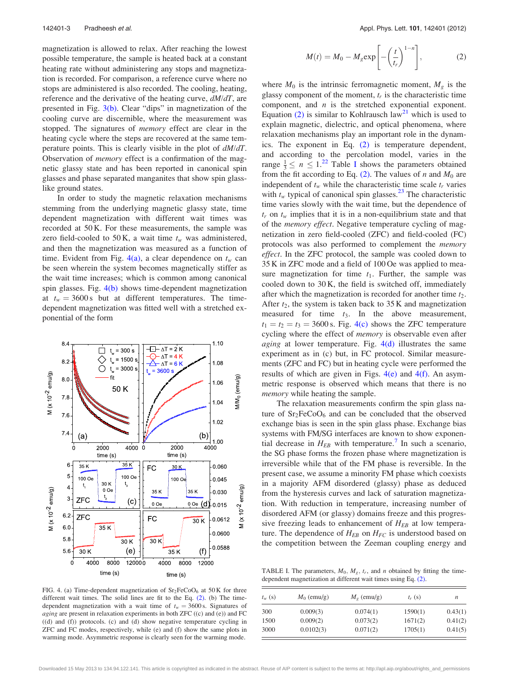magnetization is allowed to relax. After reaching the lowest possible temperature, the sample is heated back at a constant heating rate without administering any stops and magnetization is recorded. For comparison, a reference curve where no stops are administered is also recorded. The cooling, heating, reference and the derivative of the heating curve,  $dM/dT$ , are presented in Fig. [3\(b\)](#page-2-0). Clear "dips" in magnetization of the cooling curve are discernible, where the measurement was stopped. The signatures of *memory* effect are clear in the heating cycle where the steps are recovered at the same temperature points. This is clearly visible in the plot of  $dM/dT$ . Observation of memory effect is a confirmation of the magnetic glassy state and has been reported in canonical spin glasses and phase separated manganites that show spin glasslike ground states.

In order to study the magnetic relaxation mechanisms stemming from the underlying magnetic glassy state, time dependent magnetization with different wait times was recorded at 50 K. For these measurements, the sample was zero field-cooled to 50 K, a wait time  $t_w$  was administered, and then the magnetization was measured as a function of time. Evident from Fig. 4(a), a clear dependence on  $t_w$  can be seen wherein the system becomes magnetically stiffer as the wait time increases; which is common among canonical spin glasses. Fig. 4(b) shows time-dependent magnetization at  $t_w = 3600 \text{ s}$  but at different temperatures. The timedependent magnetization was fitted well with a stretched exponential of the form



FIG. 4. (a) Time-dependent magnetization of  $Sr<sub>2</sub>FeCoO<sub>6</sub>$  at 50 K for three different wait times. The solid lines are fit to the Eq. (2). (b) The timedependent magnetization with a wait time of  $t_w = 3600 \text{ s}$ . Signatures of *aging* are present in relaxation experiments in both ZFC  $((c)$  and  $(e)$ ) and FC  $((d)$  and  $(f)$ ) protocols. (c) and  $(d)$  show negative temperature cycling in ZFC and FC modes, respectively, while (e) and (f) show the same plots in warming mode. Asymmetric response is clearly seen for the warming mode.

$$
M(t) = M_0 - M_g \exp\left[-\left(\frac{t}{t_r}\right)^{1-n}\right],
$$
 (2)

where  $M_0$  is the intrinsic ferromagnetic moment,  $M_g$  is the glassy component of the moment,  $t_r$  is the characteristic time component, and  $n$  is the stretched exponential exponent. Equation (2) is similar to Kohlrausch law<sup>21</sup> which is used to explain magnetic, dielectric, and optical phenomena, where relaxation mechanisms play an important role in the dynamics. The exponent in Eq. (2) is temperature dependent, and according to the percolation model, varies in the range  $\frac{1}{3} \leq n \leq 1$ .<sup>22</sup> Table I shows the parameters obtained from the fit according to Eq. (2). The values of n and  $M_0$  are independent of  $t_w$  while the characteristic time scale  $t_r$  varies with  $t_w$  typical of canonical spin glasses.<sup>[23](#page-4-0)</sup> The characteristic time varies slowly with the wait time, but the dependence of  $t_r$  on  $t_w$  implies that it is in a non-equilibrium state and that of the memory effect. Negative temperature cycling of magnetization in zero field-cooled (ZFC) and field-cooled (FC) protocols was also performed to complement the memory effect. In the ZFC protocol, the sample was cooled down to 35 K in ZFC mode and a field of 100 Oe was applied to measure magnetization for time  $t_1$ . Further, the sample was cooled down to 30 K, the field is switched off, immediately after which the magnetization is recorded for another time  $t<sub>2</sub>$ . After  $t_2$ , the system is taken back to 35 K and magnetization measured for time  $t_3$ . In the above measurement,  $t_1 = t_2 = t_3 = 3600$  s. Fig. 4(c) shows the ZFC temperature cycling where the effect of memory is observable even after *aging* at lower temperature. Fig.  $4(d)$  illustrates the same experiment as in (c) but, in FC protocol. Similar measurements (ZFC and FC) but in heating cycle were performed the results of which are given in Figs.  $4(e)$  and  $4(f)$ . An asymmetric response is observed which means that there is no memory while heating the sample.

The relaxation measurements confirm the spin glass nature of  $Sr<sub>2</sub>FeCoO<sub>6</sub>$  and can be concluded that the observed exchange bias is seen in the spin glass phase. Exchange bias systems with FM/SG interfaces are known to show exponential decrease in  $H_{EB}$  with temperature.<sup>[7](#page-4-0)</sup> In such a scenario, the SG phase forms the frozen phase where magnetization is irreversible while that of the FM phase is reversible. In the present case, we assume a minority FM phase which coexists in a majority AFM disordered (glassy) phase as deduced from the hysteresis curves and lack of saturation magnetization. With reduction in temperature, increasing number of disordered AFM (or glassy) domains freeze and this progressive freezing leads to enhancement of  $H_{EB}$  at low temperature. The dependence of  $H_{EB}$  on  $H_{FC}$  is understood based on the competition between the Zeeman coupling energy and

TABLE I. The parameters,  $M_0$ ,  $M_g$ ,  $t_r$ , and *n* obtained by fitting the timedependent magnetization at different wait times using Eq. (2).

| $t_w$ (s) | $M_0$ (emu/g) | $M_{\rm g}$ (emu/g) | $t_r$ (s) | п       |
|-----------|---------------|---------------------|-----------|---------|
| 300       | 0.009(3)      | 0.074(1)            | 1590(1)   | 0.43(1) |
| 1500      | 0.009(2)      | 0.073(2)            | 1671(2)   | 0.41(2) |
| 3000      | 0.0102(3)     | 0.071(2)            | 1705(1)   | 0.41(5) |

Downloaded 15 May 2013 to 134.94.122.141. This article is copyrighted as indicated in the abstract. Reuse of AIP content is subject to the terms at: http://apl.aip.org/about/rights\_and\_permissions